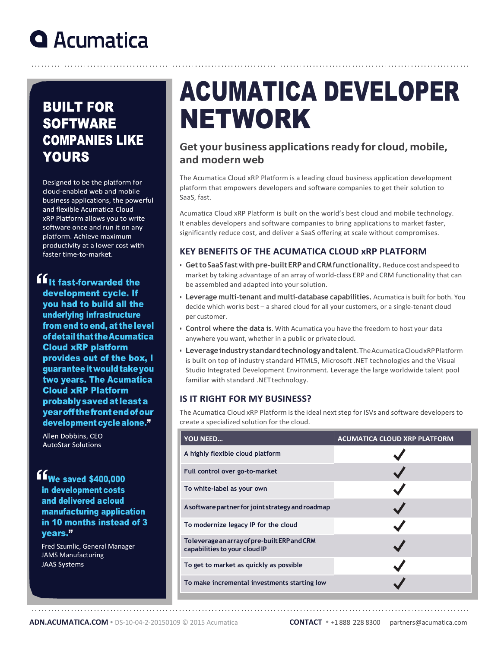### **Q** Acumatica

### **BUILT FOR SOFTWARE COMPANIES LIKE YOURS**

Designed to be the platform for cloud-enabled web and mobile business applications, the powerful and flexible Acumatica Cloud xRP Platform allows you to write software once and run it on any platform. Achieve maximum productivity at a lower cost with faster time-to-market.

**ff** it fast-forwarded the development cycle. If you had to build all the underlying infrastructure from end to end, at the level of detail that the Acumatica **Cloud xRP platform** provides out of the box, I guarantee it would take you two years. The Acumatica **Cloud xRP Platform** probably saved at least a year off the front end of our development cycle alone."

Allen Dobbins, CEO **AutoStar Solutions** 

ffwe saved \$400,000 in development costs and delivered acloud manufacturing application in 10 months instead of 3 vears."

Fred Szumlic, General Manager JAMS Manufacturing**JAAS Systems** 

# ACUMATICA DEVELOPER NETWORK

#### **Get your business applicationsready for cloud, mobile, and modern web**

The Acumatica Cloud xRP Platform is a leading cloud business application development platform that empowers developers and software companies to get their solution to SaaS, fast.

Acumatica Cloud xRP Platform is built on the world's best cloud and mobile technology. It enables developers and software companies to bring applications to market faster, significantly reduce cost, and deliver a SaaS offering at scale without compromises.

#### **KEY BENEFITS OF THE ACUMATICA CLOUD xRP PLATFORM**

- **GettoSaaSfastwithpre-builtERPandCRMfunctionality.** Reduce cost andspeedto market by taking advantage of an array of world-class ERP and CRM functionality that can be assembled and adapted into your solution.
- **Leverage multi-tenant and multi-database capabilities.** Acumatica is built for both. You decide which works best – a shared cloud for all your customers, or a single-tenant cloud per customer.
- **Control where the data is**. With Acumatica you have the freedom to host your data anywhere you want, whether in a public or privatecloud.
- **Leverageindustrystandardtechnologyandtalent**.TheAcumaticaCloudxRPPlatform is built on top of industry standard HTML5, Microsoft .NET technologies and the Visual Studio Integrated Development Environment. Leverage the large worldwide talent pool familiar with standard .NETtechnology.

#### **IS IT RIGHT FOR MY BUSINESS?**

The Acumatica Cloud xRP Platform is the ideal next step for ISVs and software developers to create a specialized solution for the cloud.

| <b>YOU NEED</b>                                                                | <b>ACUMATICA CLOUD XRP PLATFORM</b> |  |  |
|--------------------------------------------------------------------------------|-------------------------------------|--|--|
| A highly flexible cloud platform                                               |                                     |  |  |
| Full control over go-to-market                                                 |                                     |  |  |
| To white-label as your own                                                     |                                     |  |  |
| A software partner for joint strategy and roadmap                              |                                     |  |  |
| To modernize legacy IP for the cloud                                           |                                     |  |  |
| To leverage an array of pre-built ERP and CRM<br>capabilities to your cloud IP |                                     |  |  |
| To get to market as quickly as possible                                        |                                     |  |  |
| To make incremental investments starting low                                   |                                     |  |  |